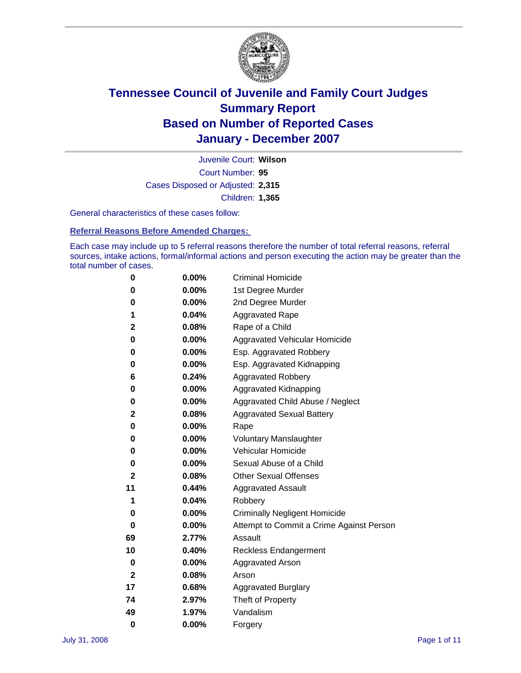

Court Number: **95** Juvenile Court: **Wilson** Cases Disposed or Adjusted: **2,315** Children: **1,365**

General characteristics of these cases follow:

**Referral Reasons Before Amended Charges:** 

Each case may include up to 5 referral reasons therefore the number of total referral reasons, referral sources, intake actions, formal/informal actions and person executing the action may be greater than the total number of cases.

| 0            | 0.00%    | <b>Criminal Homicide</b>                 |
|--------------|----------|------------------------------------------|
| 0            | 0.00%    | 1st Degree Murder                        |
| 0            | $0.00\%$ | 2nd Degree Murder                        |
| 1            | 0.04%    | <b>Aggravated Rape</b>                   |
| 2            | 0.08%    | Rape of a Child                          |
| 0            | 0.00%    | Aggravated Vehicular Homicide            |
| 0            | 0.00%    | Esp. Aggravated Robbery                  |
| 0            | 0.00%    | Esp. Aggravated Kidnapping               |
| 6            | 0.24%    | <b>Aggravated Robbery</b>                |
| 0            | $0.00\%$ | Aggravated Kidnapping                    |
| 0            | 0.00%    | Aggravated Child Abuse / Neglect         |
| 2            | 0.08%    | <b>Aggravated Sexual Battery</b>         |
| 0            | 0.00%    | Rape                                     |
| 0            | 0.00%    | <b>Voluntary Manslaughter</b>            |
| 0            | 0.00%    | Vehicular Homicide                       |
| 0            | 0.00%    | Sexual Abuse of a Child                  |
| $\mathbf{2}$ | 0.08%    | <b>Other Sexual Offenses</b>             |
| 11           | 0.44%    | <b>Aggravated Assault</b>                |
| 1            | 0.04%    | Robbery                                  |
| 0            | 0.00%    | <b>Criminally Negligent Homicide</b>     |
| 0            | 0.00%    | Attempt to Commit a Crime Against Person |
| 69           | 2.77%    | Assault                                  |
| 10           | 0.40%    | <b>Reckless Endangerment</b>             |
| 0            | $0.00\%$ | <b>Aggravated Arson</b>                  |
| 2            | 0.08%    | Arson                                    |
| 17           | 0.68%    | <b>Aggravated Burglary</b>               |
| 74           | 2.97%    | Theft of Property                        |
| 49           | 1.97%    | Vandalism                                |
| 0            | 0.00%    | Forgery                                  |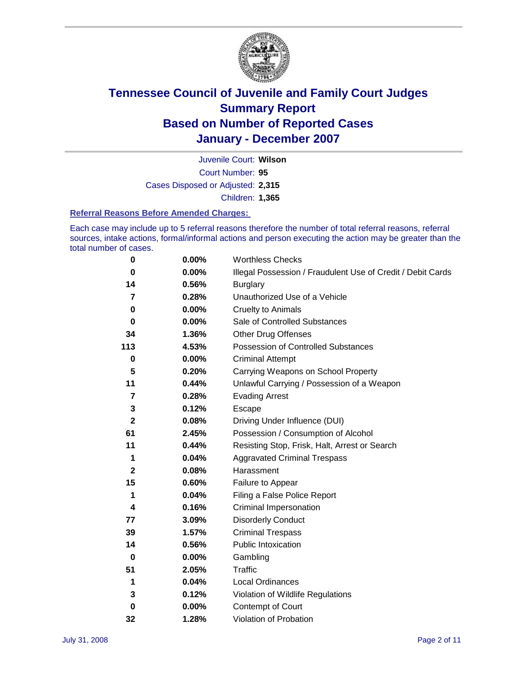

Court Number: **95** Juvenile Court: **Wilson** Cases Disposed or Adjusted: **2,315** Children: **1,365**

#### **Referral Reasons Before Amended Charges:**

Each case may include up to 5 referral reasons therefore the number of total referral reasons, referral sources, intake actions, formal/informal actions and person executing the action may be greater than the total number of cases.

| 0            | 0.00%    | <b>Worthless Checks</b>                                     |
|--------------|----------|-------------------------------------------------------------|
| 0            | 0.00%    | Illegal Possession / Fraudulent Use of Credit / Debit Cards |
| 14           | 0.56%    | <b>Burglary</b>                                             |
| 7            | 0.28%    | Unauthorized Use of a Vehicle                               |
| 0            | 0.00%    | <b>Cruelty to Animals</b>                                   |
| 0            | $0.00\%$ | Sale of Controlled Substances                               |
| 34           | 1.36%    | <b>Other Drug Offenses</b>                                  |
| 113          | 4.53%    | <b>Possession of Controlled Substances</b>                  |
| $\bf{0}$     | 0.00%    | <b>Criminal Attempt</b>                                     |
| 5            | 0.20%    | Carrying Weapons on School Property                         |
| 11           | 0.44%    | Unlawful Carrying / Possession of a Weapon                  |
| 7            | 0.28%    | <b>Evading Arrest</b>                                       |
| 3            | 0.12%    | Escape                                                      |
| $\mathbf{2}$ | 0.08%    | Driving Under Influence (DUI)                               |
| 61           | 2.45%    | Possession / Consumption of Alcohol                         |
| 11           | 0.44%    | Resisting Stop, Frisk, Halt, Arrest or Search               |
| 1            | 0.04%    | <b>Aggravated Criminal Trespass</b>                         |
| $\mathbf 2$  | 0.08%    | Harassment                                                  |
| 15           | 0.60%    | Failure to Appear                                           |
| 1            | 0.04%    | Filing a False Police Report                                |
| 4            | 0.16%    | Criminal Impersonation                                      |
| 77           | 3.09%    | <b>Disorderly Conduct</b>                                   |
| 39           | 1.57%    | <b>Criminal Trespass</b>                                    |
| 14           | 0.56%    | <b>Public Intoxication</b>                                  |
| 0            | $0.00\%$ | Gambling                                                    |
| 51           | 2.05%    | Traffic                                                     |
| 1            | 0.04%    | Local Ordinances                                            |
| 3            | 0.12%    | Violation of Wildlife Regulations                           |
| $\bf{0}$     | $0.00\%$ | Contempt of Court                                           |
| 32           | 1.28%    | Violation of Probation                                      |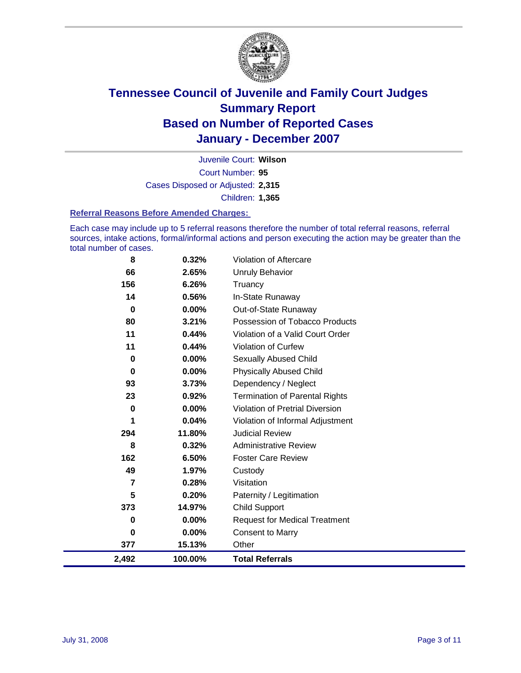

Court Number: **95** Juvenile Court: **Wilson** Cases Disposed or Adjusted: **2,315** Children: **1,365**

#### **Referral Reasons Before Amended Charges:**

Each case may include up to 5 referral reasons therefore the number of total referral reasons, referral sources, intake actions, formal/informal actions and person executing the action may be greater than the total number of cases.

| 2,492    | 100.00%  | <b>Total Referrals</b>                 |
|----------|----------|----------------------------------------|
| 377      | 15.13%   | Other                                  |
| 0        | 0.00%    | <b>Consent to Marry</b>                |
| 0        | $0.00\%$ | <b>Request for Medical Treatment</b>   |
| 373      | 14.97%   | <b>Child Support</b>                   |
| 5        | 0.20%    | Paternity / Legitimation               |
| 7        | 0.28%    | Visitation                             |
| 49       | 1.97%    | Custody                                |
| 162      | 6.50%    | <b>Foster Care Review</b>              |
| 8        | 0.32%    | <b>Administrative Review</b>           |
| 294      | 11.80%   | <b>Judicial Review</b>                 |
| 1        | 0.04%    | Violation of Informal Adjustment       |
| $\bf{0}$ | 0.00%    | <b>Violation of Pretrial Diversion</b> |
| 23       | 0.92%    | <b>Termination of Parental Rights</b>  |
| 93       | 3.73%    | Dependency / Neglect                   |
| 0        | 0.00%    | <b>Physically Abused Child</b>         |
| 0        | 0.00%    | <b>Sexually Abused Child</b>           |
| 11       | 0.44%    | Violation of Curfew                    |
| 11       | 0.44%    | Violation of a Valid Court Order       |
| 80       | 3.21%    | Possession of Tobacco Products         |
| 0        | $0.00\%$ | Out-of-State Runaway                   |
| 14       | 0.56%    | In-State Runaway                       |
| 156      | 6.26%    | Truancy                                |
| 66       | 2.65%    | <b>Unruly Behavior</b>                 |
| 8        | 0.32%    | Violation of Aftercare                 |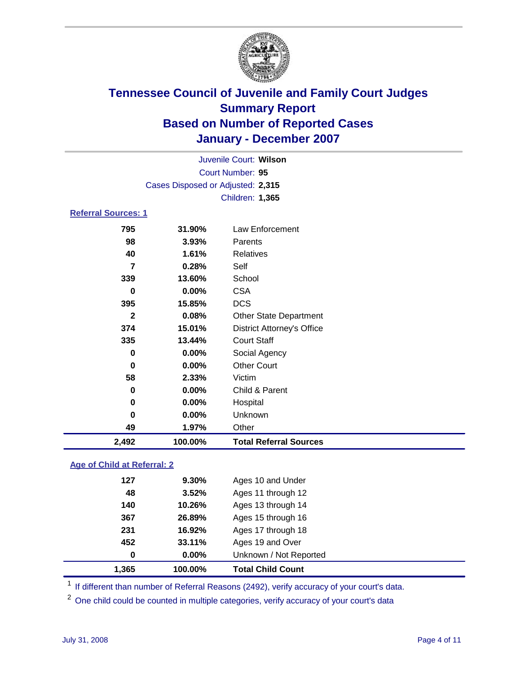

|                            | Juvenile Court: Wilson            |                                   |  |  |  |
|----------------------------|-----------------------------------|-----------------------------------|--|--|--|
| Court Number: 95           |                                   |                                   |  |  |  |
|                            | Cases Disposed or Adjusted: 2,315 |                                   |  |  |  |
|                            |                                   | Children: 1,365                   |  |  |  |
| <b>Referral Sources: 1</b> |                                   |                                   |  |  |  |
| 795                        | 31.90%                            | Law Enforcement                   |  |  |  |
| 98                         | 3.93%                             | Parents                           |  |  |  |
| 40                         | 1.61%                             | Relatives                         |  |  |  |
| 7                          | 0.28%                             | Self                              |  |  |  |
| 339                        | 13.60%                            | School                            |  |  |  |
| 0                          | 0.00%                             | <b>CSA</b>                        |  |  |  |
| 395                        | 15.85%                            | <b>DCS</b>                        |  |  |  |
| $\mathbf{2}$               | 0.08%                             | <b>Other State Department</b>     |  |  |  |
| 374                        | 15.01%                            | <b>District Attorney's Office</b> |  |  |  |
| 335                        | 13.44%                            | <b>Court Staff</b>                |  |  |  |
| 0                          | 0.00%                             | Social Agency                     |  |  |  |
| 0                          | 0.00%                             | <b>Other Court</b>                |  |  |  |
| 58                         | 2.33%                             | Victim                            |  |  |  |
| $\bf{0}$                   | 0.00%                             | Child & Parent                    |  |  |  |
| $\bf{0}$                   | 0.00%                             | Hospital                          |  |  |  |
| 0                          | 0.00%                             | Unknown                           |  |  |  |
| 49                         | 1.97%                             | Other                             |  |  |  |
| 2,492                      | 100.00%                           | <b>Total Referral Sources</b>     |  |  |  |

### **Age of Child at Referral: 2**

| 1.365 | 100.00%  | <b>Total Child Count</b> |  |
|-------|----------|--------------------------|--|
| 0     | $0.00\%$ | Unknown / Not Reported   |  |
| 452   | 33.11%   | Ages 19 and Over         |  |
| 231   | 16.92%   | Ages 17 through 18       |  |
| 367   | 26.89%   | Ages 15 through 16       |  |
| 140   | 10.26%   | Ages 13 through 14       |  |
| 48    | 3.52%    | Ages 11 through 12       |  |
| 127   | 9.30%    | Ages 10 and Under        |  |
|       |          |                          |  |

<sup>1</sup> If different than number of Referral Reasons (2492), verify accuracy of your court's data.

<sup>2</sup> One child could be counted in multiple categories, verify accuracy of your court's data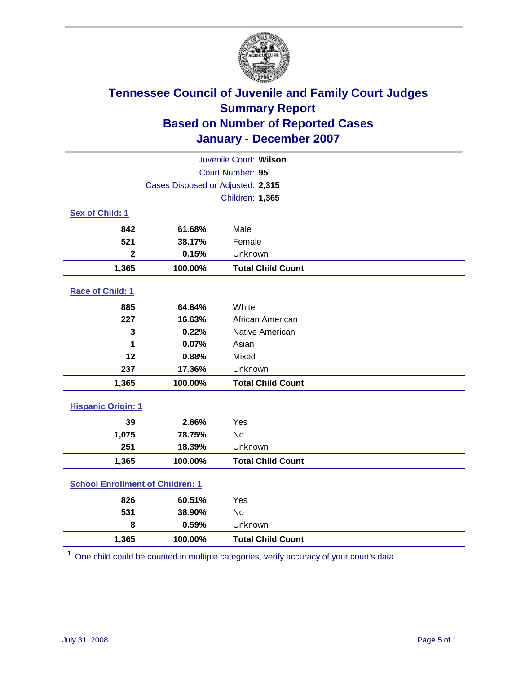

| Juvenile Court: Wilson                  |                                   |                          |  |  |
|-----------------------------------------|-----------------------------------|--------------------------|--|--|
| Court Number: 95                        |                                   |                          |  |  |
|                                         | Cases Disposed or Adjusted: 2,315 |                          |  |  |
|                                         |                                   | Children: 1,365          |  |  |
| Sex of Child: 1                         |                                   |                          |  |  |
| 842                                     | 61.68%                            | Male                     |  |  |
| 521                                     | 38.17%                            | Female                   |  |  |
| $\mathbf{2}$                            | 0.15%                             | Unknown                  |  |  |
| 1,365                                   | 100.00%                           | <b>Total Child Count</b> |  |  |
| Race of Child: 1                        |                                   |                          |  |  |
| 885                                     | 64.84%                            | White                    |  |  |
| 227                                     | 16.63%                            | African American         |  |  |
| 3                                       | 0.22%                             | Native American          |  |  |
| 1                                       | 0.07%                             | Asian                    |  |  |
| 12                                      | 0.88%                             | Mixed                    |  |  |
| 237                                     | 17.36%                            | Unknown                  |  |  |
| 1,365                                   | 100.00%                           | <b>Total Child Count</b> |  |  |
| <b>Hispanic Origin: 1</b>               |                                   |                          |  |  |
| 39                                      | 2.86%                             | Yes                      |  |  |
| 1,075                                   | 78.75%                            | <b>No</b>                |  |  |
| 251                                     | 18.39%                            | Unknown                  |  |  |
| 1,365                                   | 100.00%                           | <b>Total Child Count</b> |  |  |
| <b>School Enrollment of Children: 1</b> |                                   |                          |  |  |
| 826                                     | 60.51%                            | Yes                      |  |  |
| 531                                     | 38.90%                            | No                       |  |  |
| 8                                       | 0.59%                             | Unknown                  |  |  |
| 1,365                                   | 100.00%                           | <b>Total Child Count</b> |  |  |

<sup>1</sup> One child could be counted in multiple categories, verify accuracy of your court's data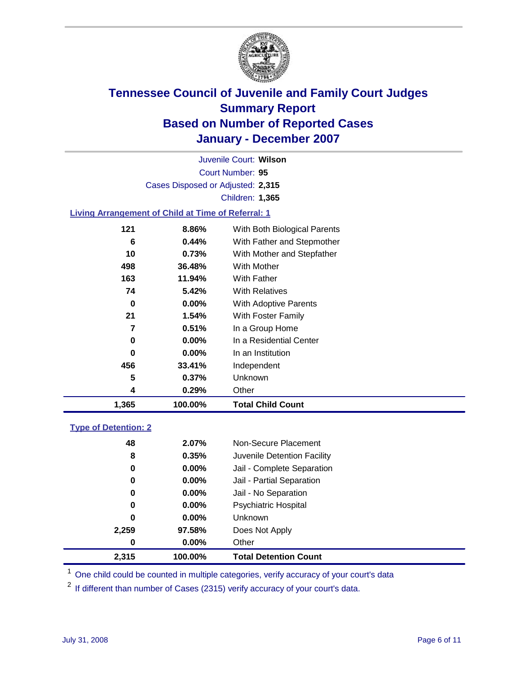

Court Number: **95** Juvenile Court: **Wilson** Cases Disposed or Adjusted: **2,315** Children: **1,365**

### **Living Arrangement of Child at Time of Referral: 1**

|     |          | <b>Total Child Count</b>     |
|-----|----------|------------------------------|
| 4   | 0.29%    | Other                        |
| 5   | 0.37%    | Unknown                      |
| 456 | 33.41%   | Independent                  |
| 0   | $0.00\%$ | In an Institution            |
| 0   | $0.00\%$ | In a Residential Center      |
| 7   | 0.51%    | In a Group Home              |
| 21  | 1.54%    | With Foster Family           |
| 0   | $0.00\%$ | With Adoptive Parents        |
| 74  | 5.42%    | <b>With Relatives</b>        |
| 163 | 11.94%   | With Father                  |
| 498 | 36.48%   | With Mother                  |
| 10  | 0.73%    | With Mother and Stepfather   |
| 6   | 0.44%    | With Father and Stepmother   |
| 121 | 8.86%    | With Both Biological Parents |
|     |          | 1,365<br>100.00%             |

#### **Type of Detention: 2**

| 2,315 | 100.00%  | <b>Total Detention Count</b> |  |
|-------|----------|------------------------------|--|
| 0     | 0.00%    | Other                        |  |
| 2,259 | 97.58%   | Does Not Apply               |  |
| 0     | $0.00\%$ | <b>Unknown</b>               |  |
| 0     | 0.00%    | <b>Psychiatric Hospital</b>  |  |
| 0     | $0.00\%$ | Jail - No Separation         |  |
| 0     | $0.00\%$ | Jail - Partial Separation    |  |
| 0     | $0.00\%$ | Jail - Complete Separation   |  |
| 8     | 0.35%    | Juvenile Detention Facility  |  |
| 48    | 2.07%    | Non-Secure Placement         |  |
|       |          |                              |  |

<sup>1</sup> One child could be counted in multiple categories, verify accuracy of your court's data

<sup>2</sup> If different than number of Cases (2315) verify accuracy of your court's data.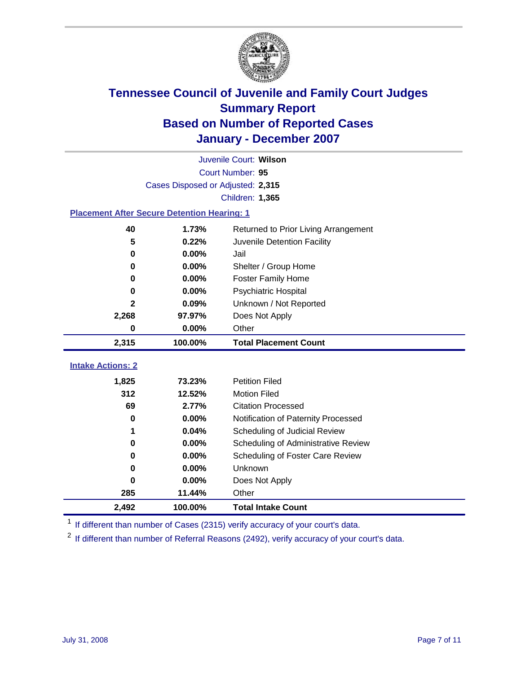

|                                                    | Juvenile Court: Wilson            |                                      |  |  |  |
|----------------------------------------------------|-----------------------------------|--------------------------------------|--|--|--|
|                                                    | Court Number: 95                  |                                      |  |  |  |
|                                                    | Cases Disposed or Adjusted: 2,315 |                                      |  |  |  |
|                                                    |                                   | Children: 1,365                      |  |  |  |
| <b>Placement After Secure Detention Hearing: 1</b> |                                   |                                      |  |  |  |
| 40                                                 | 1.73%                             | Returned to Prior Living Arrangement |  |  |  |
| 5                                                  | 0.22%                             | Juvenile Detention Facility          |  |  |  |
| $\bf{0}$                                           | 0.00%                             | Jail                                 |  |  |  |
| $\bf{0}$                                           | 0.00%                             | Shelter / Group Home                 |  |  |  |
| 0                                                  | 0.00%                             | <b>Foster Family Home</b>            |  |  |  |
| 0                                                  | 0.00%                             | Psychiatric Hospital                 |  |  |  |
| 2                                                  | 0.09%                             | Unknown / Not Reported               |  |  |  |
| 2,268                                              | 97.97%                            | Does Not Apply                       |  |  |  |
| 0                                                  | 0.00%                             | Other                                |  |  |  |
| 2,315                                              | 100.00%                           | <b>Total Placement Count</b>         |  |  |  |
|                                                    |                                   |                                      |  |  |  |
| <b>Intake Actions: 2</b>                           |                                   |                                      |  |  |  |
| 1,825                                              | 73.23%                            | <b>Petition Filed</b>                |  |  |  |
| 312                                                | 12.52%                            | <b>Motion Filed</b>                  |  |  |  |
| 69                                                 | 2.77%                             | <b>Citation Processed</b>            |  |  |  |
| $\bf{0}$                                           | 0.00%                             | Notification of Paternity Processed  |  |  |  |
| 1                                                  | 0.04%                             | Scheduling of Judicial Review        |  |  |  |
| 0                                                  | 0.00%                             | Scheduling of Administrative Review  |  |  |  |
| 0                                                  | 0.00%                             | Scheduling of Foster Care Review     |  |  |  |
| $\bf{0}$                                           | 0.00%                             | Unknown                              |  |  |  |
| 0                                                  | 0.00%                             | Does Not Apply                       |  |  |  |
|                                                    |                                   |                                      |  |  |  |
| 285                                                | 11.44%                            | Other                                |  |  |  |

<sup>1</sup> If different than number of Cases (2315) verify accuracy of your court's data.

<sup>2</sup> If different than number of Referral Reasons (2492), verify accuracy of your court's data.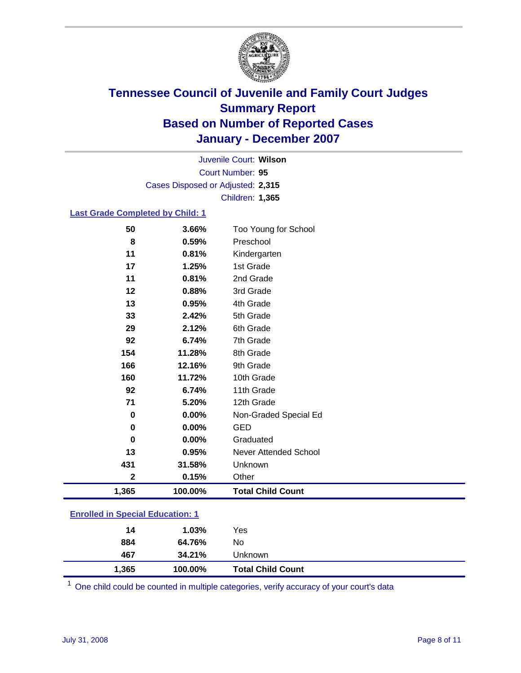

Court Number: **95** Juvenile Court: **Wilson** Cases Disposed or Adjusted: **2,315** Children: **1,365**

#### **Last Grade Completed by Child: 1**

| 50          | 3.66%   | Too Young for School     |
|-------------|---------|--------------------------|
| 8           | 0.59%   | Preschool                |
| 11          | 0.81%   | Kindergarten             |
| 17          | 1.25%   | 1st Grade                |
| 11          | 0.81%   | 2nd Grade                |
| 12          | 0.88%   | 3rd Grade                |
| 13          | 0.95%   | 4th Grade                |
| 33          | 2.42%   | 5th Grade                |
| 29          | 2.12%   | 6th Grade                |
| 92          | 6.74%   | 7th Grade                |
| 154         | 11.28%  | 8th Grade                |
| 166         | 12.16%  | 9th Grade                |
| 160         | 11.72%  | 10th Grade               |
| 92          | 6.74%   | 11th Grade               |
| 71          | 5.20%   | 12th Grade               |
| $\bf{0}$    | 0.00%   | Non-Graded Special Ed    |
| $\bf{0}$    | 0.00%   | <b>GED</b>               |
| $\bf{0}$    | 0.00%   | Graduated                |
| 13          | 0.95%   | Never Attended School    |
| 431         | 31.58%  | Unknown                  |
| $\mathbf 2$ | 0.15%   | Other                    |
| 1,365       | 100.00% | <b>Total Child Count</b> |

### **Enrolled in Special Education: 1**

| 467<br>1,365 | 34.21%<br>100.00% | Unknown<br><b>Total Child Count</b> |  |
|--------------|-------------------|-------------------------------------|--|
| 884          | 64.76%            | No                                  |  |
| 14           | $1.03\%$          | Yes                                 |  |

<sup>1</sup> One child could be counted in multiple categories, verify accuracy of your court's data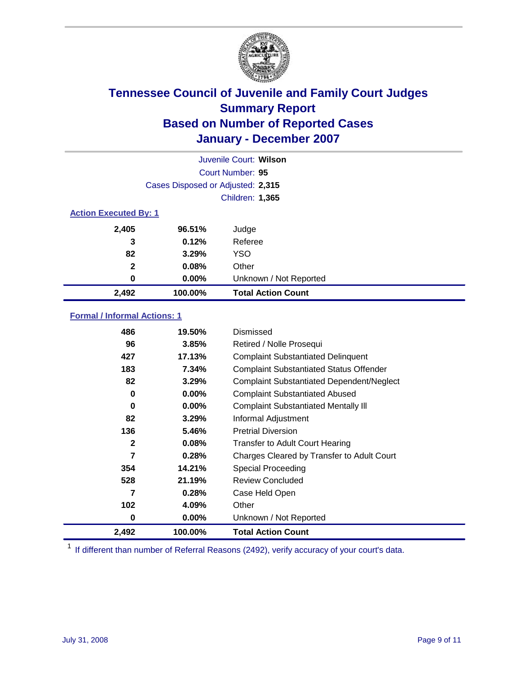

| Juvenile Court: Wilson       |                                   |                           |  |  |
|------------------------------|-----------------------------------|---------------------------|--|--|
|                              |                                   | Court Number: 95          |  |  |
|                              | Cases Disposed or Adjusted: 2,315 |                           |  |  |
|                              |                                   | Children: 1,365           |  |  |
| <b>Action Executed By: 1</b> |                                   |                           |  |  |
| 2,405                        | 96.51%                            | Judge                     |  |  |
| 3                            | 0.12%                             | Referee                   |  |  |
| 82                           | 3.29%                             | <b>YSO</b>                |  |  |
| $\mathbf{2}$                 | 0.08%                             | Other                     |  |  |
| 0                            | 0.00%                             | Unknown / Not Reported    |  |  |
| 2,492                        | 100.00%                           | <b>Total Action Count</b> |  |  |

### **Formal / Informal Actions: 1**

| 486   | 19.50%   | Dismissed                                        |
|-------|----------|--------------------------------------------------|
| 96    | 3.85%    | Retired / Nolle Prosequi                         |
| 427   | 17.13%   | <b>Complaint Substantiated Delinquent</b>        |
| 183   | 7.34%    | <b>Complaint Substantiated Status Offender</b>   |
| 82    | 3.29%    | <b>Complaint Substantiated Dependent/Neglect</b> |
| 0     | 0.00%    | <b>Complaint Substantiated Abused</b>            |
| 0     | $0.00\%$ | <b>Complaint Substantiated Mentally III</b>      |
| 82    | 3.29%    | Informal Adjustment                              |
| 136   | 5.46%    | <b>Pretrial Diversion</b>                        |
| 2     | 0.08%    | <b>Transfer to Adult Court Hearing</b>           |
| 7     | 0.28%    | Charges Cleared by Transfer to Adult Court       |
| 354   | 14.21%   | Special Proceeding                               |
| 528   | 21.19%   | <b>Review Concluded</b>                          |
| 7     | 0.28%    | Case Held Open                                   |
| 102   | 4.09%    | Other                                            |
| 0     | 0.00%    | Unknown / Not Reported                           |
| 2,492 | 100.00%  | <b>Total Action Count</b>                        |

<sup>1</sup> If different than number of Referral Reasons (2492), verify accuracy of your court's data.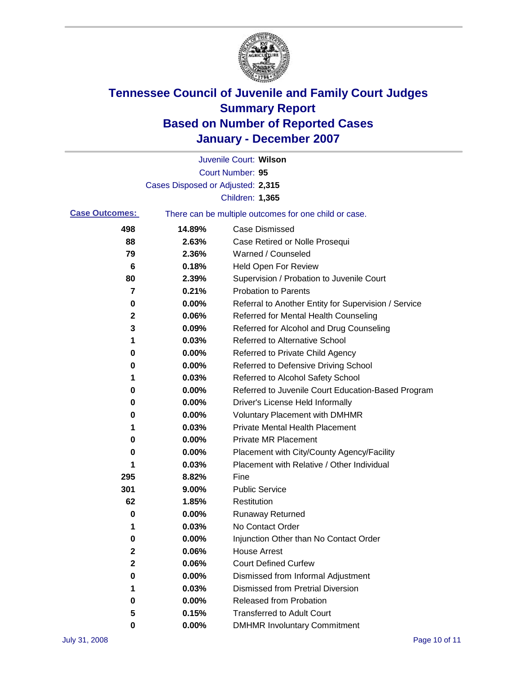

|                       |                                   | Juvenile Court: Wilson                                |
|-----------------------|-----------------------------------|-------------------------------------------------------|
|                       |                                   | Court Number: 95                                      |
|                       | Cases Disposed or Adjusted: 2,315 |                                                       |
|                       |                                   | Children: 1,365                                       |
| <b>Case Outcomes:</b> |                                   | There can be multiple outcomes for one child or case. |
| 498                   | 14.89%                            | <b>Case Dismissed</b>                                 |
| 88                    | 2.63%                             | Case Retired or Nolle Prosequi                        |
| 79                    | 2.36%                             | Warned / Counseled                                    |
| 6                     | 0.18%                             | <b>Held Open For Review</b>                           |
| 80                    | 2.39%                             | Supervision / Probation to Juvenile Court             |
| 7                     | 0.21%                             | <b>Probation to Parents</b>                           |
| 0                     | 0.00%                             | Referral to Another Entity for Supervision / Service  |
| 2                     | 0.06%                             | Referred for Mental Health Counseling                 |
| 3                     | 0.09%                             | Referred for Alcohol and Drug Counseling              |
| 1                     | 0.03%                             | Referred to Alternative School                        |
| 0                     | 0.00%                             | Referred to Private Child Agency                      |
| 0                     | 0.00%                             | Referred to Defensive Driving School                  |
| 1                     | 0.03%                             | Referred to Alcohol Safety School                     |
| 0                     | 0.00%                             | Referred to Juvenile Court Education-Based Program    |
| 0                     | 0.00%                             | Driver's License Held Informally                      |
| 0                     | 0.00%                             | <b>Voluntary Placement with DMHMR</b>                 |
| 1                     | 0.03%                             | <b>Private Mental Health Placement</b>                |
| 0                     | 0.00%                             | <b>Private MR Placement</b>                           |
| 0                     | 0.00%                             | Placement with City/County Agency/Facility            |
| 1                     | 0.03%                             | Placement with Relative / Other Individual            |
| 295                   | 8.82%                             | Fine                                                  |
| 301                   | 9.00%                             | <b>Public Service</b>                                 |
| 62                    | 1.85%                             | Restitution                                           |
| 0                     | 0.00%                             | <b>Runaway Returned</b>                               |
| 1                     | 0.03%                             | No Contact Order                                      |
| 0                     | 0.00%                             | Injunction Other than No Contact Order                |
| $\mathbf 2$           | 0.06%                             | <b>House Arrest</b>                                   |
| $\mathbf 2$           | 0.06%                             | <b>Court Defined Curfew</b>                           |
| 0                     | 0.00%                             | Dismissed from Informal Adjustment                    |
| 1                     | 0.03%                             | <b>Dismissed from Pretrial Diversion</b>              |
| 0                     | 0.00%                             | Released from Probation                               |
| 5                     | 0.15%                             | <b>Transferred to Adult Court</b>                     |
| 0                     | 0.00%                             | <b>DMHMR Involuntary Commitment</b>                   |